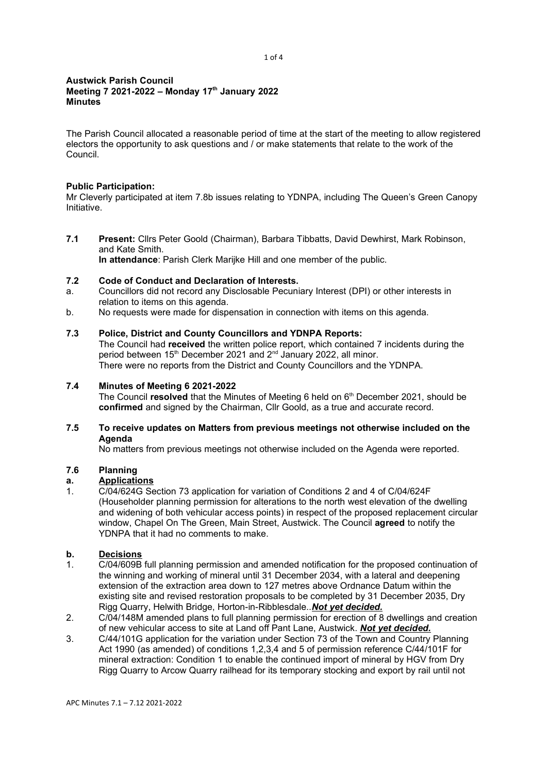#### Austwick Parish Council Meeting 7 2021-2022 – Monday 17th January 2022 **Minutes**

The Parish Council allocated a reasonable period of time at the start of the meeting to allow registered electors the opportunity to ask questions and / or make statements that relate to the work of the Council.

## Public Participation:

Mr Cleverly participated at item 7.8b issues relating to YDNPA, including The Queen's Green Canopy Initiative.

7.1 Present: Cllrs Peter Goold (Chairman), Barbara Tibbatts, David Dewhirst, Mark Robinson, and Kate Smith. In attendance: Parish Clerk Marijke Hill and one member of the public.

- 7.2 Code of Conduct and Declaration of Interests. a. Councillors did not record any Disclosable Pecuniary Interest (DPI) or other interests in relation to items on this agenda.
- b. No requests were made for dispensation in connection with items on this agenda.

## 7.3 Police, District and County Councillors and YDNPA Reports:

The Council had received the written police report, which contained 7 incidents during the period between 15<sup>th</sup> December 2021 and 2<sup>nd</sup> January 2022, all minor. There were no reports from the District and County Councillors and the YDNPA.

## 7.4 Minutes of Meeting 6 2021-2022

The Council resolved that the Minutes of Meeting 6 held on  $6<sup>th</sup>$  December 2021, should be confirmed and signed by the Chairman, Cllr Goold, as a true and accurate record.

## 7.5 To receive updates on Matters from previous meetings not otherwise included on the Agenda

No matters from previous meetings not otherwise included on the Agenda were reported.

# 7.6 Planning

## **Applications**

1. C/04/624G Section 73 application for variation of Conditions 2 and 4 of C/04/624F (Householder planning permission for alterations to the north west elevation of the dwelling and widening of both vehicular access points) in respect of the proposed replacement circular window, Chapel On The Green, Main Street, Austwick. The Council agreed to notify the YDNPA that it had no comments to make.

## b. Decisions

- 1. C/04/609B full planning permission and amended notification for the proposed continuation of the winning and working of mineral until 31 December 2034, with a lateral and deepening extension of the extraction area down to 127 metres above Ordnance Datum within the existing site and revised restoration proposals to be completed by 31 December 2035, Dry Rigg Quarry, Helwith Bridge, Horton-in-Ribblesdale.. Not yet decided.
- 2. C/04/148M amended plans to full planning permission for erection of 8 dwellings and creation of new vehicular access to site at Land off Pant Lane, Austwick. Not yet decided.
- 3. C/44/101G application for the variation under Section 73 of the Town and Country Planning Act 1990 (as amended) of conditions 1,2,3,4 and 5 of permission reference C/44/101F for mineral extraction: Condition 1 to enable the continued import of mineral by HGV from Dry Rigg Quarry to Arcow Quarry railhead for its temporary stocking and export by rail until not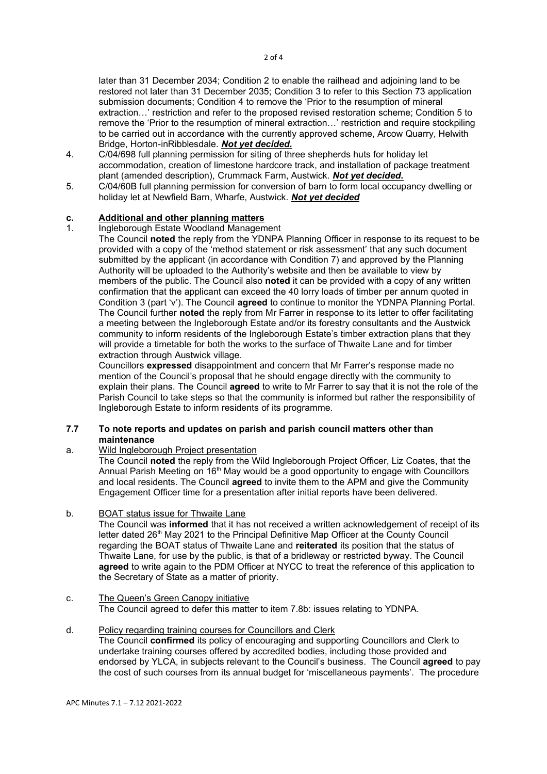later than 31 December 2034; Condition 2 to enable the railhead and adjoining land to be restored not later than 31 December 2035; Condition 3 to refer to this Section 73 application submission documents; Condition 4 to remove the 'Prior to the resumption of mineral extraction…' restriction and refer to the proposed revised restoration scheme; Condition 5 to remove the 'Prior to the resumption of mineral extraction…' restriction and require stockpiling to be carried out in accordance with the currently approved scheme, Arcow Quarry, Helwith Bridge, Horton-inRibblesdale. Not yet decided.

- 4. C/04/698 full planning permission for siting of three shepherds huts for holiday let accommodation, creation of limestone hardcore track, and installation of package treatment plant (amended description), Crummack Farm, Austwick. Not yet decided.
- 5. C/04/60B full planning permission for conversion of barn to form local occupancy dwelling or holiday let at Newfield Barn, Wharfe, Austwick. Not yet decided

## c. Additional and other planning matters

1. Ingleborough Estate Woodland Management

The Council noted the reply from the YDNPA Planning Officer in response to its request to be provided with a copy of the 'method statement or risk assessment' that any such document submitted by the applicant (in accordance with Condition 7) and approved by the Planning Authority will be uploaded to the Authority's website and then be available to view by members of the public. The Council also noted it can be provided with a copy of any written confirmation that the applicant can exceed the 40 lorry loads of timber per annum quoted in Condition 3 (part 'v'). The Council agreed to continue to monitor the YDNPA Planning Portal. The Council further noted the reply from Mr Farrer in response to its letter to offer facilitating a meeting between the Ingleborough Estate and/or its forestry consultants and the Austwick community to inform residents of the Ingleborough Estate's timber extraction plans that they will provide a timetable for both the works to the surface of Thwaite Lane and for timber extraction through Austwick village.

Councillors expressed disappointment and concern that Mr Farrer's response made no mention of the Council's proposal that he should engage directly with the community to explain their plans. The Council **agreed** to write to Mr Farrer to say that it is not the role of the Parish Council to take steps so that the community is informed but rather the responsibility of Ingleborough Estate to inform residents of its programme.

## 7.7 To note reports and updates on parish and parish council matters other than maintenance

## a. Wild Ingleborough Project presentation

The Council noted the reply from the Wild Ingleborough Project Officer, Liz Coates, that the Annual Parish Meeting on 16<sup>th</sup> May would be a good opportunity to engage with Councillors and local residents. The Council **agreed** to invite them to the APM and give the Community Engagement Officer time for a presentation after initial reports have been delivered.

b. BOAT status issue for Thwaite Lane

The Council was **informed** that it has not received a written acknowledgement of receipt of its letter dated 26<sup>th</sup> May 2021 to the Principal Definitive Map Officer at the County Council regarding the BOAT status of Thwaite Lane and reiterated its position that the status of Thwaite Lane, for use by the public, is that of a bridleway or restricted byway. The Council agreed to write again to the PDM Officer at NYCC to treat the reference of this application to the Secretary of State as a matter of priority.

#### c. The Queen's Green Canopy initiative The Council agreed to defer this matter to item 7.8b: issues relating to YDNPA.

#### d. Policy regarding training courses for Councillors and Clerk The Council confirmed its policy of encouraging and supporting Councillors and Clerk to undertake training courses offered by accredited bodies, including those provided and endorsed by YLCA, in subjects relevant to the Council's business. The Council agreed to pay the cost of such courses from its annual budget for 'miscellaneous payments'. The procedure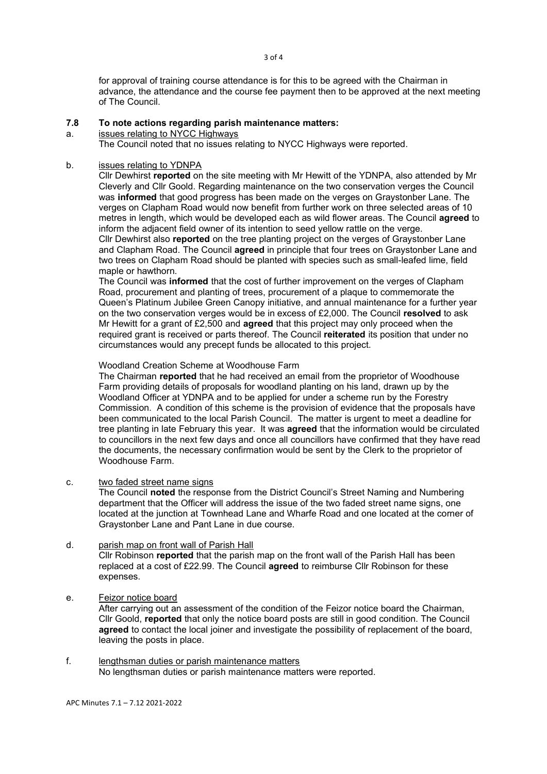for approval of training course attendance is for this to be agreed with the Chairman in advance, the attendance and the course fee payment then to be approved at the next meeting of The Council.

#### 7.8 To note actions regarding parish maintenance matters:

a. issues relating to NYCC Highways

The Council noted that no issues relating to NYCC Highways were reported.

#### b. issues relating to YDNPA

Cllr Dewhirst reported on the site meeting with Mr Hewitt of the YDNPA, also attended by Mr Cleverly and Cllr Goold. Regarding maintenance on the two conservation verges the Council was informed that good progress has been made on the verges on Graystonber Lane. The verges on Clapham Road would now benefit from further work on three selected areas of 10 metres in length, which would be developed each as wild flower areas. The Council agreed to inform the adjacent field owner of its intention to seed yellow rattle on the verge. Cllr Dewhirst also reported on the tree planting project on the verges of Graystonber Lane and Clapham Road. The Council agreed in principle that four trees on Graystonber Lane and two trees on Clapham Road should be planted with species such as small-leafed lime, field maple or hawthorn.

The Council was informed that the cost of further improvement on the verges of Clapham Road, procurement and planting of trees, procurement of a plaque to commemorate the Queen's Platinum Jubilee Green Canopy initiative, and annual maintenance for a further year on the two conservation verges would be in excess of £2,000. The Council resolved to ask Mr Hewitt for a grant of  $£2,500$  and **agreed** that this project may only proceed when the required grant is received or parts thereof. The Council reiterated its position that under no circumstances would any precept funds be allocated to this project.

#### Woodland Creation Scheme at Woodhouse Farm

The Chairman reported that he had received an email from the proprietor of Woodhouse Farm providing details of proposals for woodland planting on his land, drawn up by the Woodland Officer at YDNPA and to be applied for under a scheme run by the Forestry Commission. A condition of this scheme is the provision of evidence that the proposals have been communicated to the local Parish Council. The matter is urgent to meet a deadline for tree planting in late February this year. It was **agreed** that the information would be circulated to councillors in the next few days and once all councillors have confirmed that they have read the documents, the necessary confirmation would be sent by the Clerk to the proprietor of Woodhouse Farm.

c. two faded street name signs

The Council noted the response from the District Council's Street Naming and Numbering department that the Officer will address the issue of the two faded street name signs, one located at the junction at Townhead Lane and Wharfe Road and one located at the corner of Graystonber Lane and Pant Lane in due course.

## d. parish map on front wall of Parish Hall

Cllr Robinson reported that the parish map on the front wall of the Parish Hall has been replaced at a cost of £22.99. The Council agreed to reimburse Cllr Robinson for these expenses.

e. Feizor notice board

After carrying out an assessment of the condition of the Feizor notice board the Chairman, Cllr Goold, reported that only the notice board posts are still in good condition. The Council agreed to contact the local joiner and investigate the possibility of replacement of the board, leaving the posts in place.

f. lengthsman duties or parish maintenance matters No lengthsman duties or parish maintenance matters were reported.